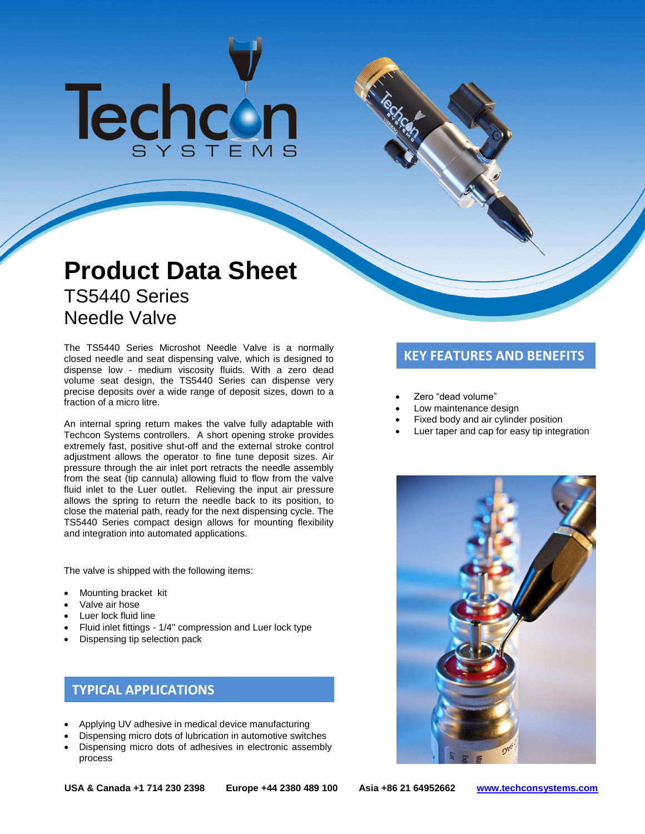# Techcon

## **Product Data Sheet** TS5440 Series Needle Valve

The TS5440 Series Microshot Needle Valve is a normally<br>closed needle and seat dispensing valve, which is designed to **KEY FEATURES AND BENEFITS** dispense low - medium viscosity fluids. With a zero dead volume seat design, the TS5440 Series can dispense very precise deposits over a wide range of deposit sizes, down to a fraction of a micro litre.

An internal spring return makes the valve fully adaptable with Techcon Systems controllers. A short opening stroke provides extremely fast, positive shut-off and the external stroke control adjustment allows the operator to fine tune deposit sizes. Air pressure through the air inlet port retracts the needle assembly from the seat (tip cannula) allowing fluid to flow from the valve fluid inlet to the Luer outlet. Relieving the input air pressure allows the spring to return the needle back to its position, to close the material path, ready for the next dispensing cycle. The TS5440 Series compact design allows for mounting flexibility and integration into automated applications.

The valve is shipped with the following items:

- Mounting bracket kit
- Valve air hose
- Luer lock fluid line
- Fluid inlet fittings 1/4'' compression and Luer lock type
- Dispensing tip selection pack

### **TYPICAL APPLICATIONS**

- Applying UV adhesive in medical device manufacturing
- Dispensing micro dots of lubrication in automotive switches
- Dispensing micro dots of adhesives in electronic assembly process

- Zero "dead volume"
- Low maintenance design
- Fixed body and air cylinder position
- Luer taper and cap for easy tip integration